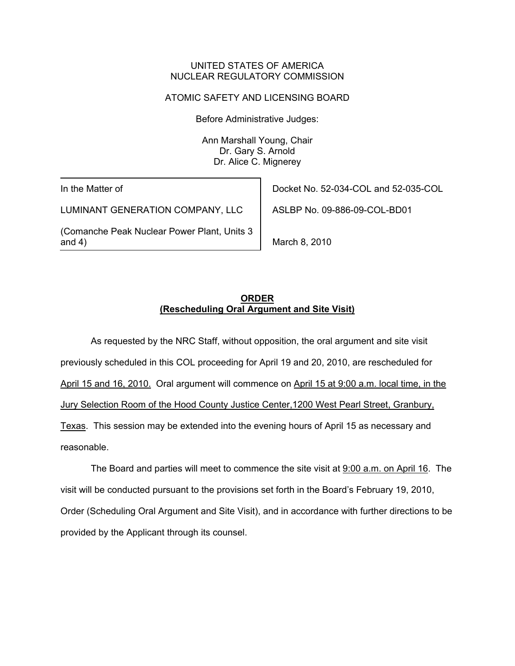### UNITED STATES OF AMERICA NUCLEAR REGULATORY COMMISSION

### ATOMIC SAFETY AND LICENSING BOARD

Before Administrative Judges:

Ann Marshall Young, Chair Dr. Gary S. Arnold Dr. Alice C. Mignerey

In the Matter of

LUMINANT GENERATION COMPANY, LLC

(Comanche Peak Nuclear Power Plant, Units 3 and 4)

Docket No. 52-034-COL and 52-035-COL

ASLBP No. 09-886-09-COL-BD01

March 8, 2010

# **ORDER (Rescheduling Oral Argument and Site Visit)**

As requested by the NRC Staff, without opposition, the oral argument and site visit previously scheduled in this COL proceeding for April 19 and 20, 2010, are rescheduled for April 15 and 16, 2010. Oral argument will commence on April 15 at 9:00 a.m. local time, in the Jury Selection Room of the Hood County Justice Center,1200 West Pearl Street, Granbury, Texas. This session may be extended into the evening hours of April 15 as necessary and reasonable.

The Board and parties will meet to commence the site visit at 9:00 a.m. on April 16. The visit will be conducted pursuant to the provisions set forth in the Board's February 19, 2010, Order (Scheduling Oral Argument and Site Visit), and in accordance with further directions to be provided by the Applicant through its counsel.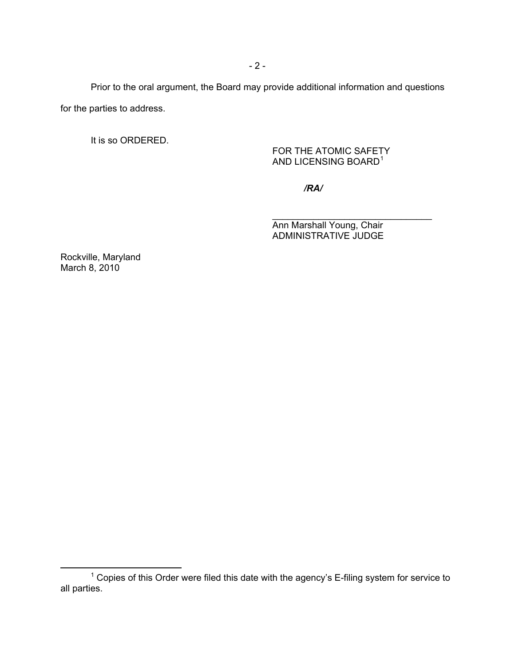Prior to the oral argument, the Board may provide additional information and questions for the parties to address.

 $\overline{\phantom{a}}$  , and the contract of the contract of the contract of the contract of the contract of the contract of the contract of the contract of the contract of the contract of the contract of the contract of the contrac

It is so ORDERED.

FOR THE ATOMIC SAFETY AND LICENSING BOARD<sup>[1](#page-1-0)</sup>

*/RA/*

Ann Marshall Young, Chair ADMINISTRATIVE JUDGE

Rockville, Maryland March 8, 2010

 $\overline{a}$ 

<span id="page-1-0"></span> $1$  Copies of this Order were filed this date with the agency's E-filing system for service to all parties.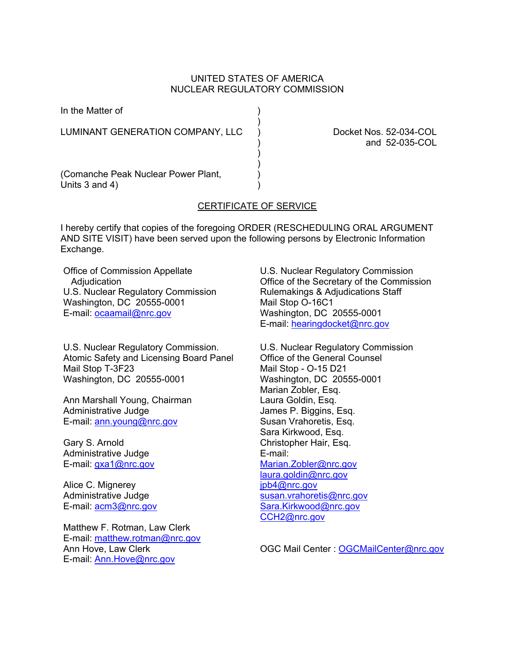# UNITED STATES OF AMERICA NUCLEAR REGULATORY COMMISSION

 $\rightarrow$ 

In the Matter of (1)

LUMINANT GENERATION COMPANY, LLC ) Docket Nos. 52-034-COL

 $)$ ) and the contract of  $\mathcal{L}$ 

) and 52-035-COL

(Comanche Peak Nuclear Power Plant, ) Units  $3$  and  $4$ )

### CERTIFICATE OF SERVICE

I hereby certify that copies of the foregoing ORDER (RESCHEDULING ORAL ARGUMENT AND SITE VISIT) have been served upon the following persons by Electronic Information Exchange.

Office of Commission Appellate Adjudication U.S. Nuclear Regulatory Commission Washington, DC 20555-0001 E-mail: ocaamail@nrc.gov

U.S. Nuclear Regulatory Commission. Atomic Safety and Licensing Board Panel Mail Stop T-3F23 Washington, DC 20555-0001

Ann Marshall Young, Chairman Administrative Judge E-mail: ann.young@nrc.gov

Gary S. Arnold Administrative Judge E-mail: gxa1@nrc.gov

Alice C. Mignerey Administrative Judge E-mail: acm3@nrc.gov

Matthew F. Rotman, Law Clerk E-mail: matthew.rotman@nrc.gov Ann Hove, Law Clerk E-mail: **Ann.Hove@nrc.gov** 

U.S. Nuclear Regulatory Commission Office of the Secretary of the Commission Rulemakings & Adjudications Staff Mail Stop O-16C1 Washington, DC 20555-0001 E-mail: hearingdocket@nrc.gov

U.S. Nuclear Regulatory Commission Office of the General Counsel Mail Stop - O-15 D21 Washington, DC 20555-0001 Marian Zobler, Esq. Laura Goldin, Esq. James P. Biggins, Esq. Susan Vrahoretis, Esq. Sara Kirkwood, Esq. Christopher Hair, Esq. E-mail: Marian.Zobler@nrc.gov laura.goldin@nrc.gov ipb4@nrc.gov susan.vrahoretis@nrc.gov Sara.Kirkwood@nrc.gov CCH2@nrc.gov

OGC Mail Center : OGCMailCenter@nrc.gov